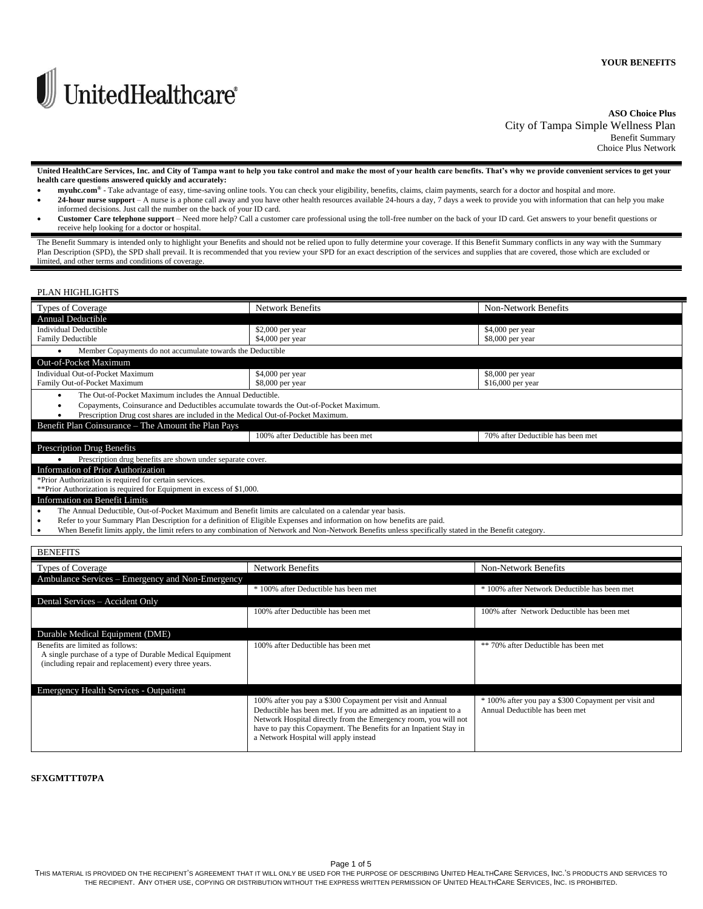

# **ASO Choice Plus** City of Tampa Simple Wellness Plan Benefit Summary

Choice Plus Network

**United HealthCare Services, Inc. and City of Tampa want to help you take control and make the most of your health care benefits. That's why we provide convenient services to get your health care questions answered quickly and accurately:**

- **myuhc.com®** Take advantage of easy, time-saving online tools. You can check your eligibility, benefits, claims, claim payments, search for a doctor and hospital and more.
- 24-hour nurse support A nurse is a phone call away and you have other health resources available 24-hours a day, 7 days a week to provide you with information that can help you make informed decisions. Just call the number on the back of your ID card.
- **Customer Care telephone support** Need more help? Call a customer care professional using the toll-free number on the back of your ID card. Get answers to your benefit questions or receive help looking for a doctor or hospital.

The Benefit Summary is intended only to highlight your Benefits and should not be relied upon to fully determine your coverage. If this Benefit Summary conflicts in any way with the Summary Plan Description (SPD), the SPD shall prevail. It is recommended that you review your SPD for an exact description of the services and supplies that are covered, those which are excluded or limited, and other terms and conditions of coverage.

# PLAN HIGHLIGHTS

| <b>Types of Coverage</b>                                                                                                    | <b>Network Benefits</b>            | <b>Non-Network Benefits</b>       |  |  |
|-----------------------------------------------------------------------------------------------------------------------------|------------------------------------|-----------------------------------|--|--|
| <b>Annual Deductible</b>                                                                                                    |                                    |                                   |  |  |
| <b>Individual Deductible</b>                                                                                                | \$2,000 per year                   | \$4,000 per year                  |  |  |
| Family Deductible                                                                                                           | \$4,000 per year                   | \$8,000 per year                  |  |  |
| Member Copayments do not accumulate towards the Deductible<br>٠                                                             |                                    |                                   |  |  |
| Out-of-Pocket Maximum                                                                                                       |                                    |                                   |  |  |
| Individual Out-of-Pocket Maximum                                                                                            | \$4,000 per year                   | \$8,000 per year                  |  |  |
| Family Out-of-Pocket Maximum                                                                                                | \$8,000 per year                   | \$16,000 per year                 |  |  |
| The Out-of-Pocket Maximum includes the Annual Deductible.<br>٠                                                              |                                    |                                   |  |  |
| Copayments, Coinsurance and Deductibles accumulate towards the Out-of-Pocket Maximum.                                       |                                    |                                   |  |  |
| Prescription Drug cost shares are included in the Medical Out-of-Pocket Maximum.                                            |                                    |                                   |  |  |
| Benefit Plan Coinsurance – The Amount the Plan Pays                                                                         |                                    |                                   |  |  |
|                                                                                                                             | 100% after Deductible has been met | 70% after Deductible has been met |  |  |
| <b>Prescription Drug Benefits</b>                                                                                           |                                    |                                   |  |  |
| Prescription drug benefits are shown under separate cover.                                                                  |                                    |                                   |  |  |
| Information of Prior Authorization                                                                                          |                                    |                                   |  |  |
| *Prior Authorization is required for certain services.                                                                      |                                    |                                   |  |  |
| **Prior Authorization is required for Equipment in excess of \$1,000.                                                       |                                    |                                   |  |  |
| Information on Benefit Limits                                                                                               |                                    |                                   |  |  |
| The Annual Deductible, Out-of-Pocket Maximum and Benefit limits are calculated on a calendar year basis.<br>٠               |                                    |                                   |  |  |
| Refer to your Summary Plan Description for a definition of Eligible Expenses and information on how benefits are paid.<br>٠ |                                    |                                   |  |  |

• When Benefit limits apply, the limit refers to any combination of Network and Non-Network Benefits unless specifically stated in the Benefit category.

| <b>BENEFITS</b>                                                                                                   |                                                                                                                                      |                                                      |
|-------------------------------------------------------------------------------------------------------------------|--------------------------------------------------------------------------------------------------------------------------------------|------------------------------------------------------|
| <b>Types of Coverage</b>                                                                                          | <b>Network Benefits</b>                                                                                                              | Non-Network Benefits                                 |
| Ambulance Services – Emergency and Non-Emergency                                                                  |                                                                                                                                      |                                                      |
|                                                                                                                   | * 100% after Deductible has been met                                                                                                 | * 100% after Network Deductible has been met         |
| Dental Services - Accident Only                                                                                   |                                                                                                                                      |                                                      |
|                                                                                                                   | 100% after Deductible has been met                                                                                                   | 100% after Network Deductible has been met           |
|                                                                                                                   |                                                                                                                                      |                                                      |
| Durable Medical Equipment (DME)                                                                                   |                                                                                                                                      |                                                      |
| Benefits are limited as follows:                                                                                  | 100% after Deductible has been met                                                                                                   | ** 70% after Deductible has been met                 |
| A single purchase of a type of Durable Medical Equipment<br>(including repair and replacement) every three years. |                                                                                                                                      |                                                      |
|                                                                                                                   |                                                                                                                                      |                                                      |
|                                                                                                                   |                                                                                                                                      |                                                      |
| <b>Emergency Health Services - Outpatient</b>                                                                     |                                                                                                                                      |                                                      |
|                                                                                                                   | 100% after you pay a \$300 Copayment per visit and Annual                                                                            | * 100% after you pay a \$300 Copayment per visit and |
|                                                                                                                   | Deductible has been met. If you are admitted as an inpatient to a<br>Network Hospital directly from the Emergency room, you will not | Annual Deductible has been met                       |
|                                                                                                                   | have to pay this Copayment. The Benefits for an Inpatient Stay in                                                                    |                                                      |
|                                                                                                                   | a Network Hospital will apply instead                                                                                                |                                                      |
|                                                                                                                   |                                                                                                                                      |                                                      |

## **SFXGMTTT07PA**

THIS MATERIAL IS PROVIDED ON THE RECIPIENT'S AGREEMENT THAT IT WILL ONLY BE USED FOR THE PURPOSE OF DESCRIBING UNITED HEALTHCARE SERVICES, INC.'S PRODUCTS AND SERVICES TO THE RECIPIENT. ANY OTHER USE, COPYING OR DISTRIBUTION WITHOUT THE EXPRESS WRITTEN PERMISSION OF UNITED HEALTHCARE SERVICES, INC. IS PROHIBITED.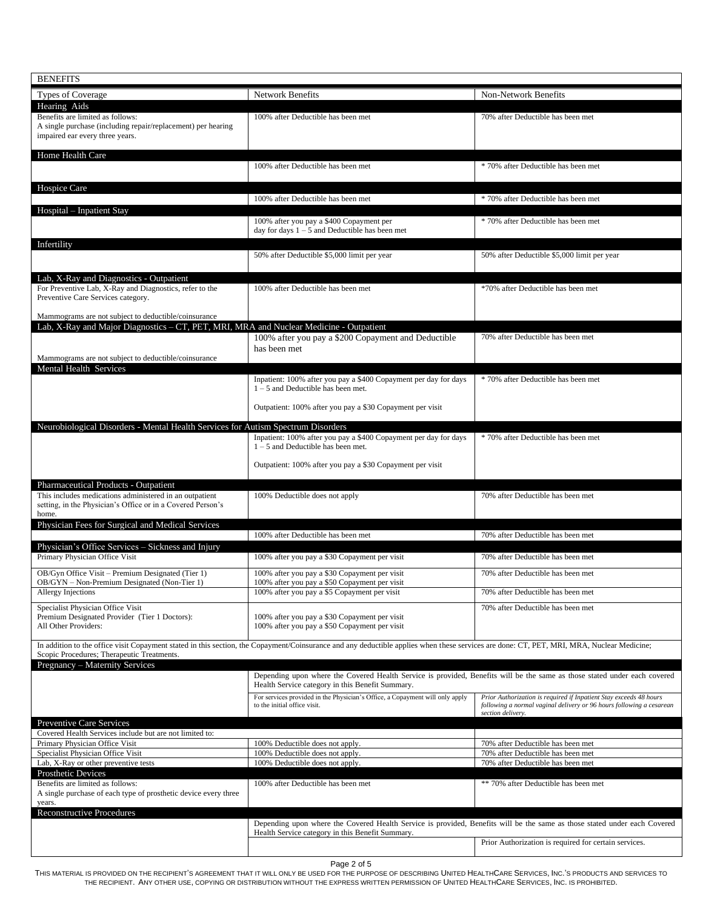| <b>BENEFITS</b>                                                                                                        |                                                                                                                                                                                           |                                                                                                                                            |
|------------------------------------------------------------------------------------------------------------------------|-------------------------------------------------------------------------------------------------------------------------------------------------------------------------------------------|--------------------------------------------------------------------------------------------------------------------------------------------|
| <b>Types of Coverage</b>                                                                                               | Network Benefits                                                                                                                                                                          | Non-Network Benefits                                                                                                                       |
| Hearing Aids<br>Benefits are limited as follows:                                                                       | 100% after Deductible has been met                                                                                                                                                        | 70% after Deductible has been met                                                                                                          |
| A single purchase (including repair/replacement) per hearing                                                           |                                                                                                                                                                                           |                                                                                                                                            |
| impaired ear every three years.                                                                                        |                                                                                                                                                                                           |                                                                                                                                            |
| Home Health Care                                                                                                       |                                                                                                                                                                                           |                                                                                                                                            |
|                                                                                                                        | 100% after Deductible has been met                                                                                                                                                        | * 70% after Deductible has been met                                                                                                        |
| Hospice Care                                                                                                           |                                                                                                                                                                                           |                                                                                                                                            |
|                                                                                                                        | 100% after Deductible has been met                                                                                                                                                        | * 70% after Deductible has been met                                                                                                        |
| Hospital - Inpatient Stay                                                                                              |                                                                                                                                                                                           |                                                                                                                                            |
|                                                                                                                        | 100% after you pay a \$400 Copayment per<br>day for days $1 - 5$ and Deductible has been met                                                                                              | * 70% after Deductible has been met                                                                                                        |
| Infertility                                                                                                            |                                                                                                                                                                                           |                                                                                                                                            |
|                                                                                                                        | 50% after Deductible \$5,000 limit per year                                                                                                                                               | 50% after Deductible \$5,000 limit per year                                                                                                |
|                                                                                                                        |                                                                                                                                                                                           |                                                                                                                                            |
| Lab, X-Ray and Diagnostics - Outpatient<br>For Preventive Lab, X-Ray and Diagnostics, refer to the                     | 100% after Deductible has been met                                                                                                                                                        | *70% after Deductible has been met                                                                                                         |
| Preventive Care Services category.                                                                                     |                                                                                                                                                                                           |                                                                                                                                            |
| Mammograms are not subject to deductible/coinsurance                                                                   |                                                                                                                                                                                           |                                                                                                                                            |
| Lab, X-Ray and Major Diagnostics - CT, PET, MRI, MRA and Nuclear Medicine - Outpatient                                 |                                                                                                                                                                                           |                                                                                                                                            |
|                                                                                                                        | 100% after you pay a \$200 Copayment and Deductible<br>has been met                                                                                                                       | 70% after Deductible has been met                                                                                                          |
| Mammograms are not subject to deductible/coinsurance                                                                   |                                                                                                                                                                                           |                                                                                                                                            |
| Mental Health Services                                                                                                 |                                                                                                                                                                                           |                                                                                                                                            |
|                                                                                                                        | Inpatient: 100% after you pay a \$400 Copayment per day for days<br>$1 - 5$ and Deductible has been met.                                                                                  | * 70% after Deductible has been met                                                                                                        |
|                                                                                                                        |                                                                                                                                                                                           |                                                                                                                                            |
|                                                                                                                        | Outpatient: 100% after you pay a \$30 Copayment per visit                                                                                                                                 |                                                                                                                                            |
| Neurobiological Disorders - Mental Health Services for Autism Spectrum Disorders                                       |                                                                                                                                                                                           |                                                                                                                                            |
|                                                                                                                        | Inpatient: 100% after you pay a \$400 Copayment per day for days<br>$1 - 5$ and Deductible has been met.                                                                                  | * 70% after Deductible has been met                                                                                                        |
|                                                                                                                        |                                                                                                                                                                                           |                                                                                                                                            |
|                                                                                                                        | Outpatient: 100% after you pay a \$30 Copayment per visit                                                                                                                                 |                                                                                                                                            |
| Pharmaceutical Products - Outpatient                                                                                   |                                                                                                                                                                                           |                                                                                                                                            |
| This includes medications administered in an outpatient<br>setting, in the Physician's Office or in a Covered Person's | 100% Deductible does not apply                                                                                                                                                            | 70% after Deductible has been met                                                                                                          |
| home.                                                                                                                  |                                                                                                                                                                                           |                                                                                                                                            |
| Physician Fees for Surgical and Medical Services                                                                       | 100% after Deductible has been met                                                                                                                                                        | 70% after Deductible has been met                                                                                                          |
| Physician's Office Services - Sickness and Injury                                                                      |                                                                                                                                                                                           |                                                                                                                                            |
| Primary Physician Office Visit                                                                                         | 100% after you pay a \$30 Copayment per visit                                                                                                                                             | 70% after Deductible has been met                                                                                                          |
| OB/Gyn Office Visit – Premium Designated (Tier 1)                                                                      | 100% after you pay a \$30 Copayment per visit                                                                                                                                             | 70% after Deductible has been met                                                                                                          |
| OB/GYN - Non-Premium Designated (Non-Tier 1)<br>Allergy Injections                                                     | 100% after you pay a \$50 Copayment per visit<br>100% after you pay a \$5 Copayment per visit                                                                                             | 70% after Deductible has been met                                                                                                          |
| Specialist Physician Office Visit                                                                                      |                                                                                                                                                                                           | 70% after Deductible has been met                                                                                                          |
| Premium Designated Provider (Tier 1 Doctors):                                                                          | 100% after you pay a \$30 Copayment per visit                                                                                                                                             |                                                                                                                                            |
| All Other Providers:                                                                                                   | 100% after you pay a \$50 Copayment per visit                                                                                                                                             |                                                                                                                                            |
|                                                                                                                        | In addition to the office visit Copayment stated in this section, the Copayment/Coinsurance and any deductible applies when these services are done: CT, PET, MRI, MRA, Nuclear Medicine; |                                                                                                                                            |
| Scopic Procedures; Therapeutic Treatments.<br>Pregnancy - Maternity Services                                           |                                                                                                                                                                                           |                                                                                                                                            |
|                                                                                                                        | Depending upon where the Covered Health Service is provided, Benefits will be the same as those stated under each covered                                                                 |                                                                                                                                            |
|                                                                                                                        | Health Service category in this Benefit Summary.                                                                                                                                          |                                                                                                                                            |
|                                                                                                                        | For services provided in the Physician's Office, a Copayment will only apply<br>to the initial office visit.                                                                              | Prior Authorization is required if Inpatient Stay exceeds 48 hours<br>following a normal vaginal delivery or 96 hours following a cesarean |
|                                                                                                                        |                                                                                                                                                                                           | section delivery.                                                                                                                          |
| Preventive Care Services<br>Covered Health Services include but are not limited to:                                    |                                                                                                                                                                                           |                                                                                                                                            |
| Primary Physician Office Visit                                                                                         | 100% Deductible does not apply.                                                                                                                                                           | 70% after Deductible has been met                                                                                                          |
| Specialist Physician Office Visit<br>Lab, X-Ray or other preventive tests                                              | 100% Deductible does not apply.<br>100% Deductible does not apply.                                                                                                                        | 70% after Deductible has been met<br>70% after Deductible has been met                                                                     |
| Prosthetic Devices                                                                                                     |                                                                                                                                                                                           |                                                                                                                                            |
| Benefits are limited as follows:<br>A single purchase of each type of prosthetic device every three                    | 100% after Deductible has been met                                                                                                                                                        | ** 70% after Deductible has been met                                                                                                       |
| years.                                                                                                                 |                                                                                                                                                                                           |                                                                                                                                            |
| <b>Reconstructive Procedures</b>                                                                                       |                                                                                                                                                                                           |                                                                                                                                            |
|                                                                                                                        |                                                                                                                                                                                           |                                                                                                                                            |
|                                                                                                                        | Depending upon where the Covered Health Service is provided, Benefits will be the same as those stated under each Covered<br>Health Service category in this Benefit Summary.             |                                                                                                                                            |

Page 2 of 5

THIS MATERIAL IS PROVIDED ON THE RECIPIENT'S AGREEMENT THAT IT WILL ONLY BE USED FOR THE PURPOSE OF DESCRIBING UNITED HEALTHCARE SERVICES, INC.'S PRODUCTS AND SERVICES TO THE RECIPIENT. ANY OTHER USE, COPYING OR DISTRIBUTION WITHOUT THE EXPRESS WRITTEN PERMISSION OF UNITED HEALTHCARE SERVICES, INC. IS PROHIBITED.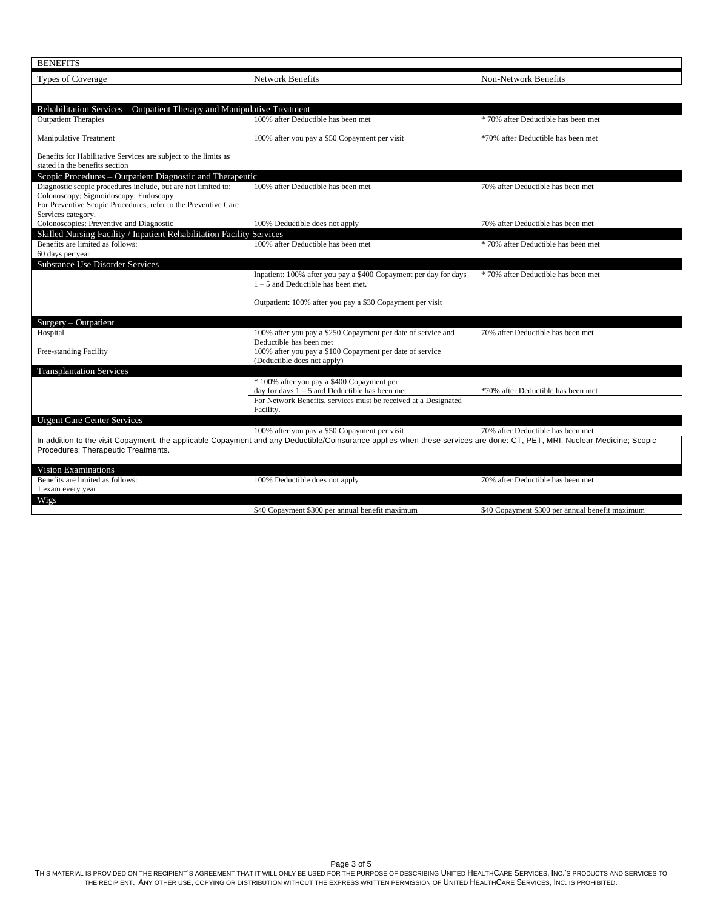| <b>BENEFITS</b>                                                                                         |                                                                                                                                                                          |                                                 |  |  |
|---------------------------------------------------------------------------------------------------------|--------------------------------------------------------------------------------------------------------------------------------------------------------------------------|-------------------------------------------------|--|--|
| <b>Types of Coverage</b>                                                                                | <b>Network Benefits</b>                                                                                                                                                  | <b>Non-Network Benefits</b>                     |  |  |
|                                                                                                         |                                                                                                                                                                          |                                                 |  |  |
| Rehabilitation Services – Outpatient Therapy and Manipulative Treatment                                 |                                                                                                                                                                          |                                                 |  |  |
| <b>Outpatient Therapies</b>                                                                             | 100% after Deductible has been met                                                                                                                                       | * 70% after Deductible has been met             |  |  |
|                                                                                                         |                                                                                                                                                                          |                                                 |  |  |
| <b>Manipulative Treatment</b>                                                                           | 100% after you pay a \$50 Copayment per visit                                                                                                                            | *70% after Deductible has been met              |  |  |
| Benefits for Habilitative Services are subject to the limits as                                         |                                                                                                                                                                          |                                                 |  |  |
| stated in the benefits section                                                                          |                                                                                                                                                                          |                                                 |  |  |
| Scopic Procedures – Outpatient Diagnostic and Therapeutic                                               |                                                                                                                                                                          |                                                 |  |  |
| Diagnostic scopic procedures include, but are not limited to:                                           | 100% after Deductible has been met                                                                                                                                       | 70% after Deductible has been met               |  |  |
| Colonoscopy; Sigmoidoscopy; Endoscopy<br>For Preventive Scopic Procedures, refer to the Preventive Care |                                                                                                                                                                          |                                                 |  |  |
| Services category.                                                                                      |                                                                                                                                                                          |                                                 |  |  |
| Colonoscopies: Preventive and Diagnostic                                                                | 100% Deductible does not apply                                                                                                                                           | 70% after Deductible has been met               |  |  |
| Skilled Nursing Facility / Inpatient Rehabilitation Facility Services                                   |                                                                                                                                                                          |                                                 |  |  |
| Benefits are limited as follows:<br>60 days per year                                                    | 100% after Deductible has been met                                                                                                                                       | * 70% after Deductible has been met             |  |  |
| <b>Substance Use Disorder Services</b>                                                                  |                                                                                                                                                                          |                                                 |  |  |
|                                                                                                         | Inpatient: 100% after you pay a \$400 Copayment per day for days                                                                                                         | * 70% after Deductible has been met             |  |  |
|                                                                                                         | $1 - 5$ and Deductible has been met.                                                                                                                                     |                                                 |  |  |
|                                                                                                         | Outpatient: 100% after you pay a \$30 Copayment per visit                                                                                                                |                                                 |  |  |
|                                                                                                         |                                                                                                                                                                          |                                                 |  |  |
| $Surgery - Output$                                                                                      |                                                                                                                                                                          |                                                 |  |  |
| Hospital                                                                                                | 100% after you pay a \$250 Copayment per date of service and                                                                                                             | 70% after Deductible has been met               |  |  |
|                                                                                                         | Deductible has been met                                                                                                                                                  |                                                 |  |  |
| Free-standing Facility                                                                                  | 100% after you pay a \$100 Copayment per date of service<br>(Deductible does not apply)                                                                                  |                                                 |  |  |
| <b>Transplantation Services</b>                                                                         |                                                                                                                                                                          |                                                 |  |  |
|                                                                                                         | * 100% after you pay a \$400 Copayment per                                                                                                                               |                                                 |  |  |
|                                                                                                         | day for days $1 - 5$ and Deductible has been met                                                                                                                         | *70% after Deductible has been met              |  |  |
|                                                                                                         | For Network Benefits, services must be received at a Designated<br>Facility.                                                                                             |                                                 |  |  |
| <b>Urgent Care Center Services</b>                                                                      |                                                                                                                                                                          |                                                 |  |  |
|                                                                                                         | 100% after you pay a \$50 Copayment per visit                                                                                                                            | 70% after Deductible has been met               |  |  |
|                                                                                                         | In addition to the visit Copayment, the applicable Copayment and any Deductible/Coinsurance applies when these services are done: CT, PET, MRI, Nuclear Medicine; Scopic |                                                 |  |  |
| Procedures; Therapeutic Treatments.                                                                     |                                                                                                                                                                          |                                                 |  |  |
| <b>Vision Examinations</b>                                                                              |                                                                                                                                                                          |                                                 |  |  |
| Benefits are limited as follows:                                                                        | 100% Deductible does not apply                                                                                                                                           | 70% after Deductible has been met               |  |  |
| 1 exam every year                                                                                       |                                                                                                                                                                          |                                                 |  |  |
| Wigs                                                                                                    |                                                                                                                                                                          |                                                 |  |  |
|                                                                                                         | \$40 Copayment \$300 per annual benefit maximum                                                                                                                          | \$40 Copayment \$300 per annual benefit maximum |  |  |

Page 3 of 5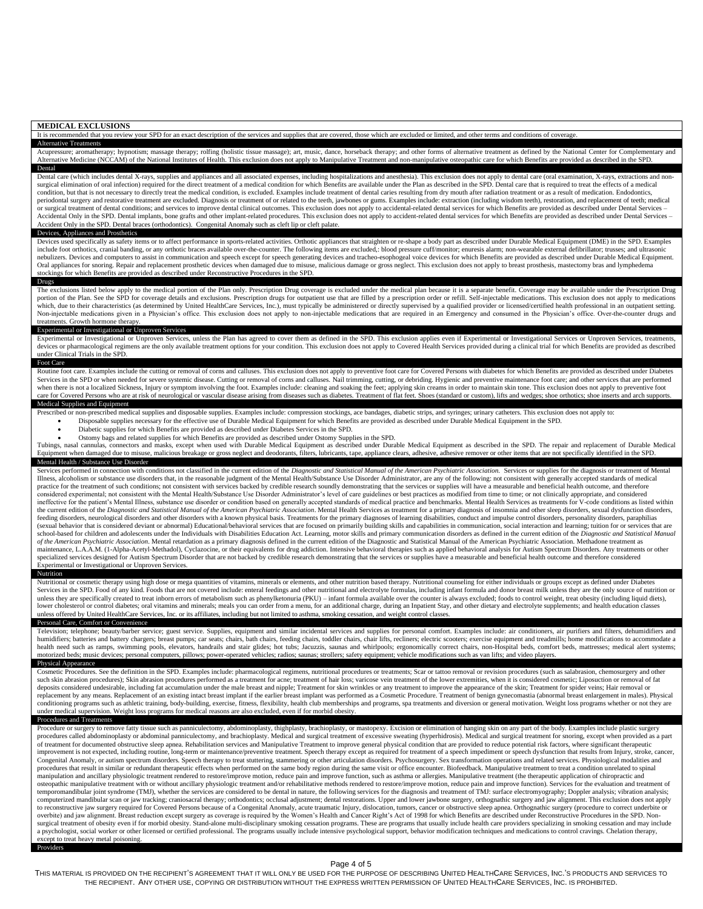### **MEDICAL EXCLUSIONS**

It is recommended that you review your SPD for an exact description of the services and supplies that are covered, those which are excluded or limited, and other terms and conditions of coverage.

### Alternative Treatments

Acupressure; aromatherapy; hypnotism; massage therapy; rolfing (holistic tissue massage); art, music, dance, horseback therapy; and other forms of alternative treatment as defined by the National Center for Complementary a ernative Medicine (NCCAM) of the National Institutes of Health. This exclusion does not apply to Manipulative Treatment and non-manipulative osteopathic care for which Benefits are provided as described in the SPD. Dental

Dental care (which includes dental X-rays, supplies and appliances and all associated expenses, including hospitalizations and anesthesia). This exclusion does not apply to dental care (oral examination, X-rays, extraction surgical elimination of oral infection) required for the direct treatment of a medical condition for which Benefits are available under the Plan as described in the SPD. Dental care that is required to treat the effects of condition, but that is not necessary to directly treat the medical condition, is excluded. Examples include treatment of dental caries resulting from dry mouth after radiation treatment or as a result of medication. Endodo periodontal surgery and restorative treatment are excluded. Diagnosis or treatment of or related to the teeth, jawbones or gums. Examples include: extraction (including wisdom teeth), restoration, and replacement of teeth; or surgical treatment of dental conditions; and services to improve dental clinical outcomes. This exclusion does not apply to accidental-related dental services for which Benefits are provided as described under Dental Se Accidental Only in the SPD. Dental implants, bone grafts and other implant-related procedures. This exclusion does not apply to accident-related dental services for which Benefits are provided as described under Dental Ser Accident Only in the SPD. Dental braces (orthodontics). Congenital Anomaly such as cleft lip or cleft palate.

### Devices, Appliances and Prosthetics

Devices used specifically as safety items or to affect performance in sports-related activities. Orthotic appliances that straighten or re-shape a body part as described under Durable Medical Equipment (DME) in the SPD. Ex nebulizers. Devices and computers to assist in communication and speech except for speech generating devices and tracheo-esophogeal voice devices for which Benefits are provided as described under Durable Medical Equipment. Oral appliances for snoring. Repair and replacement prosthetic devices when damaged due to misuse, malicious damage or gross neglect. This exclusion does not apply to breast prosthesis, mastectomy bras and lymphedema stockings for which Benefits are provided as described under Reconstructive Procedures in the SPD.

### Drugs

The exclusions listed below apply to the medical portion of the Plan only. Prescription Drug coverage is excluded under the medical plan because it is a separate benefit. Coverage may be available under the Prescription Dr portion of the Plan. See the SPD for coverage details and exclusions. Prescription drugs for outpatient use that are filled by a prescription order or refill. Self-injectable medications. This exclusion does not apply to m which, due to their characteristics (as determined by United HealthCare Services, Inc.), must typically be administered or directly supervised by a qualified provider or licensed/certified health professional in an outpati Non-injectable medications given in a Physician's office. This exclusion does not apply to non-injectable medications that are required in an Emergency and consumed in the Physician's office. Over-the-counter drugs and treatments. Growth hormone therapy.

### Experimental or Investigational or Unproven Services

Experimental or Investigational or Unproven Services, unless the Plan has agreed to cover them as defined in the SPD. This exclusion applies even if Experimental or Investigational Services or Unproven Services, treatments, devices or pharmacological regimens are the only available treatment options for your condition. This exclusion does not apply to Covered Health Services provided during a clinical trial for which Benefits are provided as der Clinical Trials in the SPD.

### Foot Care

Routine foot care. Examples include the cutting or removal of corns and calluses. This exclusion does not apply to preventive foot care for Covered Persons with diabetes for which Benefits are provided as described under D Services in the SPD or when needed for severe systemic disease. Cutting or removal of corns and calluses. Nail trimming, cutting, or debriding. Hygienic and preventive maintenance foot care; and other services that are per when there is not a localized Sickness, Injury or symptom involving the foot. Examples include: cleaning and soaking the feet; applying skin creams in order to maintain skin tone. This exclusion does not apply to preventiv care for Covered Persons who are at risk of neurological or vascular disease arising from diseases such as diabetes. Treatment of flat feet. Shoes (standard or custom), lifts and wedges; shoe orthotics; shoe inserts and ar Medical Supplies and Equipment

- Prescribed or non-prescribed medical supplies and disposable supplies. Examples include: compression stockings, ace bandages, diabetic strips, and syringes; urinary catheters. This exclusion does not apply to: • Disposable supplies necessary for the effective use of Durable Medical Equipment for which Benefits are provided as described under Durable Medical Equipment in the SPD.
	- Diabetic supplies for which Benefits are provided as described under Diabetes Services in the SPD.
	- Ostomy bags and related supplies for which Benefits are provided as described under Ostomy Supplies in the SPD.

Tubings, nasal cannulas, connectors and masks, except when used with Durable Medical Equipment as described under Durable Medical Equipment as described in the SPD. The repair and replacement of Durable Medical Equipment when damaged due to misuse, malicious breakage or gross neglect and deodorants, filters, lubricants, tape, appliance clears, adhesive, adhesive remover or other items that are not specifically identified in the S

### Mental Health / Substance Use Disorder

Services performed in connection with conditions not classified in the current edition of the Diagnostic and Statistical Manual of the American Psychiatric Association. Services or supplies for the diagnosis or treatment o Illness, alcoholism or substance use disorders that, in the reasonable judgment of the Mental Health/Substance Use Disorder Administrator, are any of the following: not consistent with generally accepted standards of medical practice for the treatment of such conditions; not consistent with services backed by credible research soundly demonstrating that the services or supplies will have a measurable and beneficial health outcome, and therefor ineffective for the patient's Mental Illness, substance use disorder or condition based on generally accepted standards of medical practice and benchmarks. Mental Health Services as treatments for V-code conditions as list income contract the method of the American Psychiatric Association. Mental Health Services as treatment for a primary diagnosis of insomnia and other sleep disorders, sexual dysfunction disorders, feeding disorders, neurological disorders and other disorders with a known physical basis. Treatments for the primary diagnoses of learning disabilities, conduct and impulse control disorders, personality disorders, paraph (sexual behavior that is considered deviant or abnormal) Educational/behavioral services that are focused on primarily building skills and capabilities in communication, social interaction and learning; tuition for or serv school-based for children and adolescents under the Individuals with Disabilities Education Act. Learning, motor skills and primary communication disorders as defined in the current edition of the Diagnostic and Statistica of the American Psychiatric Association. Mental retardation as a primary diagnosis defined in the current edition of the Diagnostic and Statistical Manual of the American Psychiatric Association. Methadone treatment as maintenance, L.A.A.M. (1-Alpha-Acetyl-Methadol), Cyclazocine, or their equivalents for drug addiction. Intensive behavioral therapies such as applied behavioral analysis for Autism Spectrum Disorders. Any treatments or oth specialized services designed for Autism Spectrum Disorder that are not backed by credible research demonstrating that the services or supplies have a measurable and beneficial health outcome and therefore considered Experimental or Investigational or Unproven Services.

Nutritional or cosmetic therapy using high dose or mega quantities of vitamins, minerals or elements, and other nutrition based therapy. Nutritional counseling for either individuals or groups except as defined under Diabe Services in the SPD. Food of any kind. Foods that are not covered include: enteral feedings and other nutritional and electrolyte formulas, including infant formula and donor breast milk unless they are the only source of unless they are specifically created to treat inborn errors of metabolism such as phenylketonuria (PKU) - infant formula available over the counter is always excluded; foods to control weight, treat obesity (including liqu lower cholesterol or control diabetes; oral vitamins and minerals; meals you can order from a menu, for an additional charge, during an Inpatient Stay, and other dietary and electrolyte supplements; and health education cl unless offered by United HealthCare Services, Inc. or its affiliates, including but not limited to asthma, smoking cessation, and weight control classes.

## Personal Care, Comfort or Convenience

Television; telephone; beauty/barber service; guest service. Supplies, equipment and similar incidental services and supplies for personal comfort. Examples include: air conditioners, air purifiers and filters, dehumidifie health need such as ramps, swimming pools, elevators, handrails and stair glides; hot tubs; Jacuzzis, saunas and whirlpools; ergonomically correct chairs, non-Hospital beds, comfort beds, mattresses; medical alert systems;

### Physical Appearance

Nutrition

Cosmetic Procedures. See the definition in the SPD. Examples include: pharmacological regimens, nutritional procedures or treatments; Scar or tattoo removal or revision procedures (such as salabrasion, chemosurgery and other such skin abrasion procedures); Skin abrasion procedures performed as a treatment for acne; treatment of hair loss; varicose vein treatment of the lower extremities, when it is considered cosmetic; Liposuction or removal o deposits considered undesirable, including fat accumulation under the male breast and nipple; Treatment for skin wrinkles or any treatment to improve the appearance of the skin; Treatment for spider veins; Hair removal or replacement by any means. Replacement of an existing intact breast implant if the earlier breast implant was performed as a Cosmetic Procedure. Treatment of benign gynecomastia (abnormal breast enlargement in males). Physi conditioning programs such as athletic training, body-building, exercise, fitness, flexibility, health club memberships and programs, spa treatments and diversion or general motivation. Weight loss programs whether or not under medical supervision. Weight loss programs for medical reasons are also excluded, even if for morbid obesity.

# Procedures and Treatments

Procedure or surgery to remove fatty tissue such as panniculectomy, abdominoplasty, highplasty, brachioplasty, or mastopexy. Excision or elimination of hanging skin on any part of the body. Examples include plastic surgery of treatment for documented obstructive sleep apnea. Rehabilitation services and Manipulative Treatment to improve general physical condition that are provided to reduce potential risk factors, where significant therapeuti Congenital Anomaly, or autism spectrum disorders. Speech therapy to treat stuttering, stammering or other articulation disorders. Psychosurgery. Sex transformation operations and related services. Physiological modalities procedures that result in similar or redundant therapeutic effects when performed on the same body region during the same visit or office encounter. Biofeedback. Manipulative treatment to treat a condition unrelated to spi osteopathic manipulative treatment with or without ancillary physiologic treatment and/or rehabilitative methods rendered to restore/improve motion, reduce pain and improve function). Services for the evaluation and treatm temporomandibular joint syndrome (TMJ), whether the services are considered to be dental in nature, the following services for the diagnosis and treatment of TMJ: surface electromyography; Doppler analysis; vibration analy computerized mandibular scan or jaw tracking; craniosacral therapy; orthodontics; occlusal adjustment; dental restorations. Upper and lower jawbone surgery, orthognathic surgery and jaw alignment. This exclusion does not a to reconstructive jaw surgery required for Covered Persons because of a Congenital Anomaly, acute traumatic Injury, dislocation, tumors, cancer or obstructive sleep apnea. Orthognathic surgery (procedure to correct underbi surgical treatment of obesity even if for morbid obesity. Stand-alone multi-disciplinary smoking cessation programs. These are programs that usually include health care providers specializing in smoking cessation and may i ept to treat heavy metal poisoning. Providers

# Page 4 of 5

THIS MATERIAL IS PROVIDED ON THE RECIPIENT'S AGREEMENT THAT IT WILL ONLY BE USED FOR THE PURPOSE OF DESCRIBING UNITED HEALTHCARE SERVICES. INC.'S PRODUCTS AND SERVICES TO THE RECIPIENT. ANY OTHER USE, COPYING OR DISTRIBUTION WITHOUT THE EXPRESS WRITTEN PERMISSION OF UNITED HEALTHCARE SERVICES, INC. IS PROHIBITED.